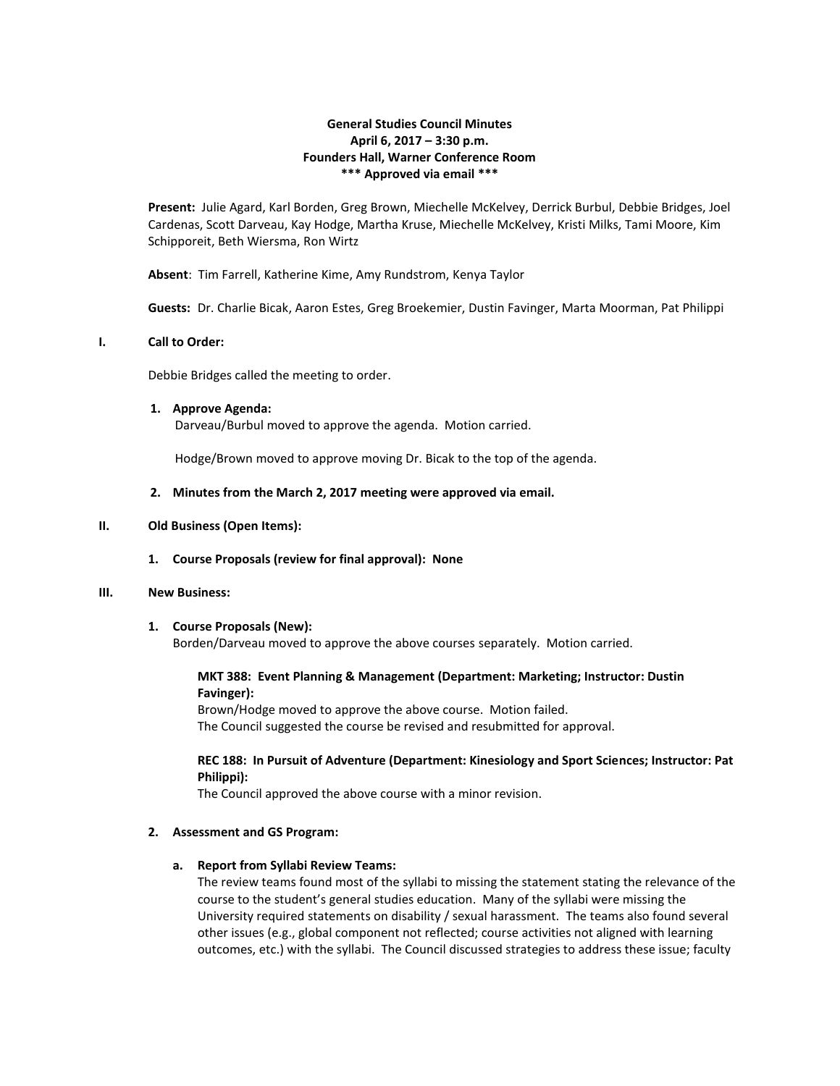# **General Studies Council Minutes April 6, 2017 – 3:30 p.m. Founders Hall, Warner Conference Room \*\*\* Approved via email \*\*\***

**Present:** Julie Agard, Karl Borden, Greg Brown, Miechelle McKelvey, Derrick Burbul, Debbie Bridges, Joel Cardenas, Scott Darveau, Kay Hodge, Martha Kruse, Miechelle McKelvey, Kristi Milks, Tami Moore, Kim Schipporeit, Beth Wiersma, Ron Wirtz

**Absent**: Tim Farrell, Katherine Kime, Amy Rundstrom, Kenya Taylor

**Guests:** Dr. Charlie Bicak, Aaron Estes, Greg Broekemier, Dustin Favinger, Marta Moorman, Pat Philippi

## **I. Call to Order:**

Debbie Bridges called the meeting to order.

## **1. Approve Agenda:**

Darveau/Burbul moved to approve the agenda. Motion carried.

Hodge/Brown moved to approve moving Dr. Bicak to the top of the agenda.

## **2. Minutes from the March 2, 2017 meeting were approved via email.**

## **II. Old Business (Open Items):**

#### **1. Course Proposals (review for final approval): None**

#### **III. New Business:**

## **1. Course Proposals (New):**

Borden/Darveau moved to approve the above courses separately. Motion carried.

# **MKT 388: Event Planning & Management (Department: Marketing; Instructor: Dustin Favinger):**

Brown/Hodge moved to approve the above course. Motion failed. The Council suggested the course be revised and resubmitted for approval.

# **REC 188: In Pursuit of Adventure (Department: Kinesiology and Sport Sciences; Instructor: Pat Philippi):**

The Council approved the above course with a minor revision.

## **2. Assessment and GS Program:**

# **a. Report from Syllabi Review Teams:**

The review teams found most of the syllabi to missing the statement stating the relevance of the course to the student's general studies education. Many of the syllabi were missing the University required statements on disability / sexual harassment. The teams also found several other issues (e.g., global component not reflected; course activities not aligned with learning outcomes, etc.) with the syllabi. The Council discussed strategies to address these issue; faculty